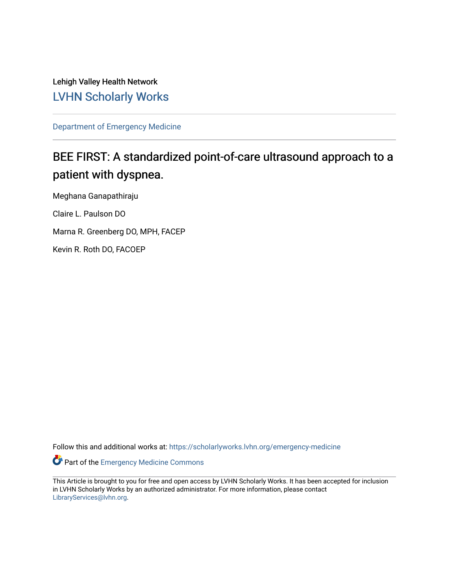Lehigh Valley Health Network [LVHN Scholarly Works](https://scholarlyworks.lvhn.org/)

[Department of Emergency Medicine](https://scholarlyworks.lvhn.org/emergency-medicine)

# BEE FIRST: A standardized point-of-care ultrasound approach to a patient with dyspnea.

Meghana Ganapathiraju Claire L. Paulson DO Marna R. Greenberg DO, MPH, FACEP Kevin R. Roth DO, FACOEP

Follow this and additional works at: [https://scholarlyworks.lvhn.org/emergency-medicine](https://scholarlyworks.lvhn.org/emergency-medicine?utm_source=scholarlyworks.lvhn.org%2Femergency-medicine%2F708&utm_medium=PDF&utm_campaign=PDFCoverPages) 

Part of the [Emergency Medicine Commons](http://network.bepress.com/hgg/discipline/685?utm_source=scholarlyworks.lvhn.org%2Femergency-medicine%2F708&utm_medium=PDF&utm_campaign=PDFCoverPages)

This Article is brought to you for free and open access by LVHN Scholarly Works. It has been accepted for inclusion in LVHN Scholarly Works by an authorized administrator. For more information, please contact [LibraryServices@lvhn.org](mailto:LibraryServices@lvhn.org).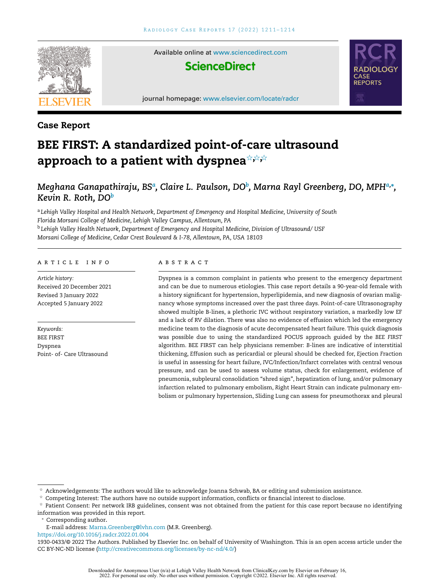

# **Case Report**

# **BEE FIRST: A standardized point-of-care ultrasound approach to a patient with dyspnea**-**,**-**,**-

# *Meghana Ganapathiraju, BS<sup>a</sup> , Claire L. Paulson, DO<sup>b</sup> , Marna Rayl Greenberg, DO, MPHa,***<sup>∗</sup>** *, Kevin R. Roth, DO<sup>b</sup>*

<sup>a</sup> *Lehigh Valley Hospital and Health Network, Department of Emergency and Hospital Medicine, University of South Florida Morsani College of Medicine, Lehigh Valley Campus, Allentown, PA* <sup>b</sup> *Lehigh Valley Health Network, Department of Emergency and Hospital Medicine, Division of Ultrasound/ USF Morsani College of Medicine, Cedar Crest Boulevard & I-78, Allentown, PA, USA 18103*

### a r t i c l e i n f o

*Article history:* Received 20 December 2021 Revised 3 January 2022 Accepted 5 January 2022

*Keywords:* BEE FIRST Dyspnea Point- of- Care Ultrasound

#### a b s t r a c t

Dyspnea is a common complaint in patients who present to the emergency department and can be due to numerous etiologies. This case report details a 90-year-old female with a history significant for hypertension, hyperlipidemia, and new diagnosis of ovarian malignancy whose symptoms increased over the past three days. Point-of-care Ultrasonography showed multiple B-lines, a plethoric IVC without respiratory variation, a markedly low EF and a lack of RV dilation. There was also no evidence of effusion which led the emergency medicine team to the diagnosis of acute decompensated heart failure. This quick diagnosis was possible due to using the standardized POCUS approach guided by the *BEE FIRST* algorithm. BEE FIRST can help physicians remember: *B*-lines are indicative of interstitial thickening, *E*ffusion such as pericardial or pleural should be checked for, *E*jection *F*raction is useful in assessing for heart failure*, I*VC*/I*nfection/*I*nfarct correlates with central venous pressure, and can be used to assess volume status, check for enlargement, evidence of pneumonia, subpleural consolidation "shred sign", hepatization of lung, and/or pulmonary infarction related to pulmonary embolism, *R*ight Heart Strain can indicate pulmonary embolism or pulmonary hypertension, *S*liding Lung can assess for pneumothorax and pleural

 $^\star$  Acknowledgements: The authors would like to acknowledge Joanna Schwab, BA or editing and submission assistance.

 $^\star$  Competing Interest: The authors have no outside support information, conflicts or financial interest to disclose.

<sup>∗</sup> Corresponding author**.**

E-mail address: [Marna.Greenberg@lvhn.com](mailto:Marna.Greenberg@lvhn.com) (M.R. Greenberg).

<https://doi.org/10.1016/j.radcr.2022.01.004>

1930-0433/© 2022 The Authors. Published by Elsevier Inc. on behalf of University of Washington. This is an open access article under the CC BY-NC-ND license [\(http://creativecommons.org/licenses/by-nc-nd/4.0/\)](http://creativecommons.org/licenses/by-nc-nd/4.0/)

 $^\star$  Patient Consent: Per network IRB guidelines, consent was not obtained from the patient for this case report because no identifying information was provided in this report.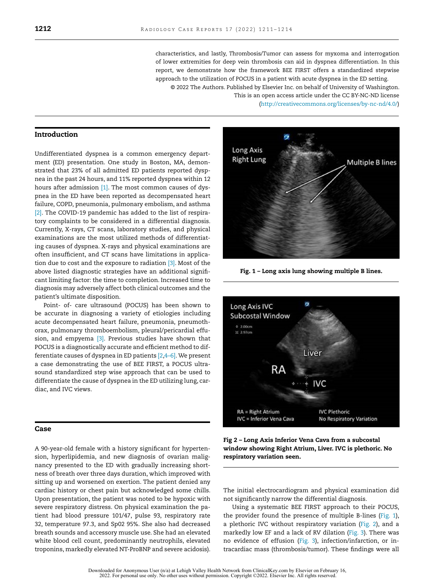characteristics, and lastly, *T*hrombosis/*T*umor can assess for myxoma and interrogation of lower extremities for deep vein thrombosis can aid in dyspnea differentiation. In this report, we demonstrate how the framework BEE FIRST offers a standardized stepwise approach to the utilization of POCUS in a patient with acute dyspnea in the ED setting. © 2022 The Authors. Published by Elsevier Inc. on behalf of University of Washington. This is an open access article under the CC BY-NC-ND license

[\(http://creativecommons.org/licenses/by-nc-nd/4.0/\)](http://creativecommons.org/licenses/by-nc-nd/4.0/)

## **Introduction**

Undifferentiated dyspnea is a common emergency department (ED) presentation. One study in Boston, MA, demonstrated that 23% of all admitted ED patients reported dyspnea in the past 24 hours, and 11% reported dyspnea within 12 hours after admission  $[1]$ . The most common causes of dyspnea in the ED have been reported as decompensated heart failure, COPD, pneumonia, pulmonary embolism, and asthma [\[2\].](#page-4-0) The COVID-19 pandemic has added to the list of respiratory complaints to be considered in a differential diagnosis. Currently, X-rays, CT scans, laboratory studies, and physical examinations are the most utilized methods of differentiating causes of dyspnea. X-rays and physical examinations are often insufficient, and CT scans have limitations in application due to cost and the exposure to radiation  $[3]$ . Most of the above listed diagnostic strategies have an additional significant limiting factor: the time to completion. Increased time to diagnosis may adversely affect both clinical outcomes and the patient's ultimate disposition.

Point- of- care ultrasound (POCUS) has been shown to be accurate in diagnosing a variety of etiologies including acute decompensated heart failure, pneumonia, pneumothorax, pulmonary thromboembolism, pleural/pericardial effusion, and empyema [\[3\].](#page-4-0) Previous studies have shown that POCUS is a diagnostically accurate and efficient method to differentiate causes of dyspnea in ED patients [\[2,4–6\].](#page-4-0) We present a case demonstrating the use of BEE FIRST, a POCUS ultrasound standardized step wise approach that can be used to differentiate the cause of dyspnea in the ED utilizing lung, cardiac, and IVC views.

#### **Case**

A 90-year-old female with a history significant for hypertension, hyperlipidemia, and new diagnosis of ovarian malignancy presented to the ED with gradually increasing shortness of breath over three days duration, which improved with sitting up and worsened on exertion. The patient denied any cardiac history or chest pain but acknowledged some chills. Upon presentation, the patient was noted to be hypoxic with severe respiratory distress. On physical examination the patient had blood pressure 101/47, pulse 93, respiratory rate 32, temperature 97.3, and Sp02 95%. She also had decreased breath sounds and accessory muscle use. She had an elevated white blood cell count, predominantly neutrophils, elevated troponins, markedly elevated NT-ProBNP and severe acidosis).



**Fig. 1 – Long axis lung showing multiple B lines.**



**Fig 2 – Long Axis Inferior Vena Cava from a subcostal window showing Right Atrium, Liver. IVC is plethoric. No respiratory variation seen.**

The initial electrocardiogram and physical examination did not significantly narrow the differential diagnosis.

Using a systematic BEE FIRST approach to their POCUS, the provider found the presence of multiple B-lines (Fig. 1), a plethoric IVC without respiratory variation (Fig. 2), and a markedly low EF and a lack of RV dilation [\(Fig.](#page-3-0) 3). There was no evidence of effusion [\(Fig.](#page-3-0) 3), infection/infarction, or intracardiac mass (thrombosis/tumor). These findings were all

Downloaded for Anonymous User (n/a) at Lehigh Valley Health Network from ClinicalKey.com by Elsevier on February 16, 2022. For personal use only. No other uses without permission. Copyright ©2022. Elsevier Inc. All rights reserved.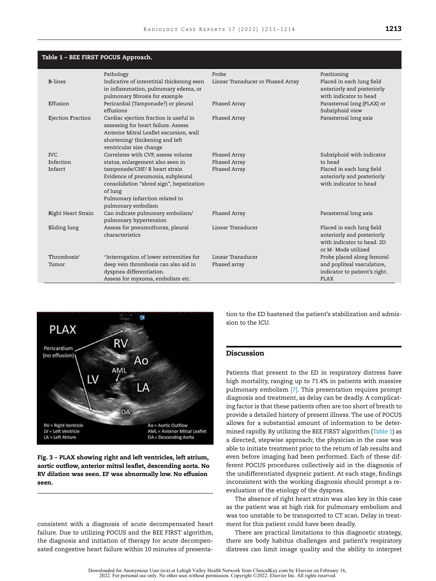<span id="page-3-0"></span>

| Table 1 – BEE FIRST POCUS Approach. |                                                                                                                                                                                       |                                   |                                                                                                              |
|-------------------------------------|---------------------------------------------------------------------------------------------------------------------------------------------------------------------------------------|-----------------------------------|--------------------------------------------------------------------------------------------------------------|
|                                     | Pathology                                                                                                                                                                             | Probe                             | Positioning                                                                                                  |
| <b>B-lines</b>                      | Indicative of interstitial thickening seen<br>in inflammation, pulmonary edema, or<br>pulmonary fibrosis for example                                                                  | Linear Transducer or Phased Array | Placed in each lung field<br>anteriorly and posteriorly<br>with indicator to head                            |
| Effusion                            | Pericardial (Tamponade?) or pleural<br>effusions                                                                                                                                      | Phased Array                      | Parasternal long (PLAX) or<br>Subxiphoid view                                                                |
| Ejection Fraction                   | Cardiac ejection fraction is useful in<br>assessing for heart failure. Assess<br>Anterior Mitral Leaflet excursion, wall<br>shortening/thickening and left<br>ventricular size change | Phased Array                      | Parasternal long axis                                                                                        |
| <b>IVC</b>                          | Correlates with CVP, assess volume                                                                                                                                                    | Phased Array                      | Subxiphoid with indicator                                                                                    |
| Infection                           | status, enlargement also seen in                                                                                                                                                      | Phased Array                      | to head                                                                                                      |
| Infarct                             | tamponade/CHF/ R heart strain<br>Evidence of pneumonia, subpleural<br>consolidation "shred sign", hepatization<br>of lung<br>Pulmonary infarction related to<br>pulmonary embolism    | Phased Array                      | Placed in each lung field<br>anteriorly and posteriorly<br>with indicator to head                            |
| Right Heart Strain                  | Can indicate pulmonary embolism/<br>pulmonary hypertension                                                                                                                            | Phased Array                      | Parasternal long axis                                                                                        |
| Sliding lung                        | Assess for pneumothorax, pleural<br>characteristics                                                                                                                                   | Linear Transducer                 | Placed in each lung field<br>anteriorly and posteriorly<br>with indicator to head, 2D<br>or M- Mode utilized |
| Thrombosis*                         | *Interrogation of lower extremities for                                                                                                                                               | Linear Transducer                 | Probe placed along femoral                                                                                   |
| Tumor                               | deep vein thrombosis can also aid in<br>dyspnea differentiation.<br>Assess for myxoma, embolism etc.                                                                                  | Phased array                      | and popliteal vasculature,<br>indicator to patient's right.<br><b>PLAX</b>                                   |



**Fig. 3 – PLAX showing right and left ventricles, left atrium, aortic outflow, anterior mitral leaflet, descending aorta. No RV dilation was seen. EF was abnormally low. No effusion seen.**

consistent with a diagnosis of acute decompensated heart failure. Due to utilizing POCUS and the BEE FIRST algorithm, the diagnosis and initiation of therapy for acute decompensated congestive heart failure within 10 minutes of presentation to the ED hastened the patient's stabilization and admission to the ICU.

# **Discussion**

Patients that present to the ED in respiratory distress have high mortality, ranging up to 71.4% in patients with massive pulmonary embolism [\[7\].](#page-4-0) This presentation requires prompt diagnosis and treatment, as delay can be deadly. A complicating factor is that these patients often are too short of breath to provide a detailed history of present illness. The use of POCUS allows for a substantial amount of information to be determined rapidly. By utilizing the BEE FIRST algorithm (Table 1) as a directed, stepwise approach; the physician in the case was able to initiate treatment prior to the return of lab results and even before imaging had been performed. Each of these different POCUS procedures collectively aid in the diagnosis of the undifferentiated dyspneic patient. At each stage, findings inconsistent with the working diagnosis should prompt a reevaluation of the etiology of the dyspnea.

The absence of right heart strain was also key in this case as the patient was at high risk for pulmonary embolism and was too unstable to be transported to CT scan. Delay in treatment for this patient could have been deadly.

There are practical limitations to this diagnostic strategy, there are body habitus challenges and patient's respiratory distress can limit image quality and the ability to interpret